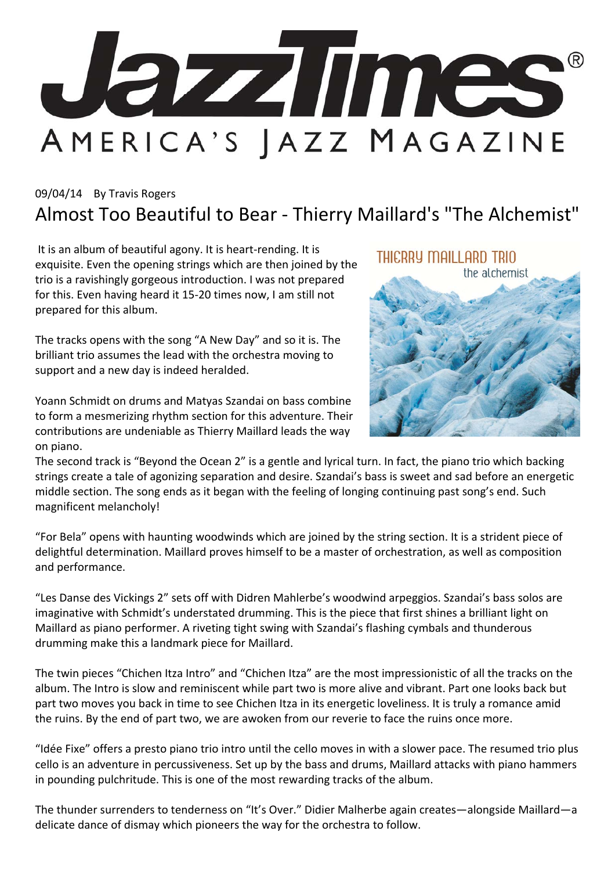

## 09/04/14 By Travis Rogers Almost Too Beautiful to Bear ‐ Thierry Maillard's "The Alchemist"

It is an album of beautiful agony. It is heart‐rending. It is exquisite. Even the opening strings which are then joined by the trio is a ravishingly gorgeous introduction. I was not prepared for this. Even having heard it 15‐20 times now, I am still not prepared for this album.

The tracks opens with the song "A New Day" and so it is. The brilliant trio assumes the lead with the orchestra moving to support and a new day is indeed heralded.

Yoann Schmidt on drums and Matyas Szandai on bass combine to form a mesmerizing rhythm section for this adventure. Their contributions are undeniable as Thierry Maillard leads the way on piano.

THICRRY MAILLARD TRIO



The second track is "Beyond the Ocean 2" is a gentle and lyrical turn. In fact, the piano trio which backing strings create a tale of agonizing separation and desire. Szandai's bass is sweet and sad before an energetic middle section. The song ends as it began with the feeling of longing continuing past song's end. Such magnificent melancholy!

"For Bela" opens with haunting woodwinds which are joined by the string section. It is a strident piece of delightful determination. Maillard proves himself to be a master of orchestration, as well as composition and performance.

"Les Danse des Vickings 2" sets off with Didren Mahlerbe's woodwind arpeggios. Szandai's bass solos are imaginative with Schmidt's understated drumming. This is the piece that first shines a brilliant light on Maillard as piano performer. A riveting tight swing with Szandai's flashing cymbals and thunderous drumming make this a landmark piece for Maillard.

The twin pieces "Chichen Itza Intro" and "Chichen Itza" are the most impressionistic of all the tracks on the album. The Intro is slow and reminiscent while part two is more alive and vibrant. Part one looks back but part two moves you back in time to see Chichen Itza in its energetic loveliness. It is truly a romance amid the ruins. By the end of part two, we are awoken from our reverie to face the ruins once more.

"Idée Fixe" offers a presto piano trio intro until the cello moves in with a slower pace. The resumed trio plus cello is an adventure in percussiveness. Set up by the bass and drums, Maillard attacks with piano hammers in pounding pulchritude. This is one of the most rewarding tracks of the album.

The thunder surrenders to tenderness on "It's Over." Didier Malherbe again creates—alongside Maillard—a delicate dance of dismay which pioneers the way for the orchestra to follow.